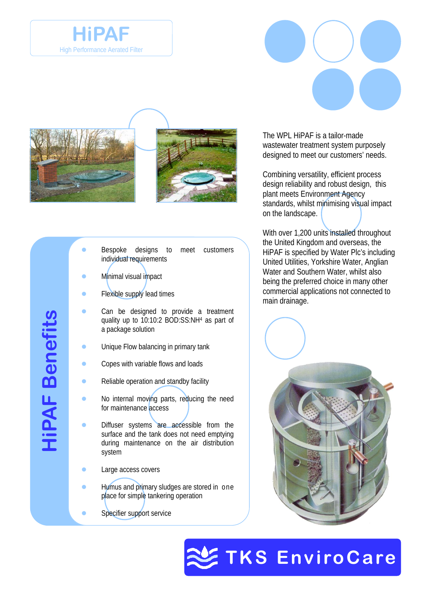



- Bespoke designs to meet customers individual requirements
- Minimal visual impact
- Flexible supply lead times
- Can be designed to provide a treatment quality up to 10:10:2 BOD:SS:NH4 as part of a package solution
- Unique Flow balancing in primary tank
- Copes with variable flows and loads
- Reliable operation and standby facility
- No internal moving parts, reducing the need for maintenance access
- Diffuser systems are accessible from the surface and the tank does not need emptying during maintenance on the air distribution system
- Large access covers
- Humus and primary sludges are stored in one place for simple tankering operation
- Specifier support service

The WPL HiPAF is a tailor-made wastewater treatment system purposely designed to meet our customers' needs.

Combining versatility, efficient process design reliability and robust design, this plant meets Environment Agency standards, whilst minimising visual impact on the landscape.

With over 1,200 units installed throughout the United Kingdom and overseas, the HiPAF is specified by Water Plc's including United Utilities, Yorkshire Water, Anglian Water and Southern Water, whilst also being the preferred choice in many other commercial applications not connected to main drainage.





**HiPAF Benefits HiPAF Benefits**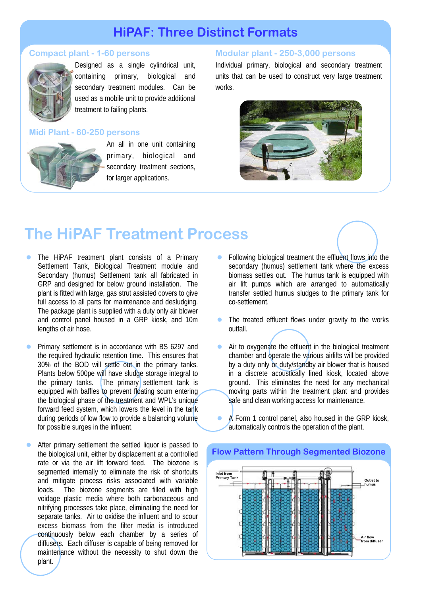# **HiPAF: Three Distinct Formats**

### **Compact plant - 1-60 persons**



Designed as a single cylindrical unit, containing primary, biological and secondary treatment modules. Can be used as a mobile unit to provide additional treatment to failing plants.

### **Midi Plant - 60-250 persons**



An all in one unit containing primary, biological and secondary treatment sections, for larger applications.

# **Modular plant - 250-3,000 persons**

Individual primary, biological and secondary treatment units that can be used to construct very large treatment works.



# **The HiPAF Treatment Process**

- The HiPAF treatment plant consists of a Primary Settlement Tank, Biological Treatment module and Secondary (humus) Settlement tank all fabricated in GRP and designed for below ground installation. The plant is fitted with large, gas strut assisted covers to give full access to all parts for maintenance and desludging. The package plant is supplied with a duty only air blower and control panel housed in a GRP kiosk, and 10m lengths of air hose.
- Primary settlement is in accordance with BS 6297 and the required hydraulic retention time. This ensures that 30% of the BOD will settle out in the primary tanks. Plants below 500pe will have sludge storage integral to the primary tanks. The primary settlement tank is equipped with baffles to prevent floating scum entering the biological phase of the treatment and WPL's unique forward feed system, which lowers the level in the tank during periods of low flow to provide a balancing volume for possible surges in the influent.
- After primary settlement the settled liquor is passed to the biological unit, either by displacement at a controlled rate or via the air lift forward feed. The biozone is segmented internally to eliminate the risk of shortcuts and mitigate process risks associated with variable loads. The biozone segments are filled with high voidage plastic media where both carbonaceous and nitrifying processes take place, eliminating the need for separate tanks. Air to oxidise the influent and to scour excess biomass from the filter media is introduced continuously below each chamber by a series of diffusers. Each diffuser is capable of being removed for maintenance without the necessity to shut down the plant.
- Following biological treatment the effluent flows into the secondary (humus) settlement tank where the excess biomass settles out. The humus tank is equipped with air lift pumps which are arranged to automatically transfer settled humus sludges to the primary tank for co-settlement.
- The treated effluent flows under gravity to the works outfall.
- $\bullet$  Air to oxygenate the effluent in the biological treatment chamber and operate the various airlifts will be provided by a duty only or duty/standby air blower that is housed in a discrete acoustically lined kiosk, located above ground. This eliminates the need for any mechanical moving parts within the treatment plant and provides safe and clean working access for maintenance.
- A Form 1 control panel, also housed in the GRP kiosk, automatically controls the operation of the plant.



#### **Flow Pattern Through Segmented Biozone**